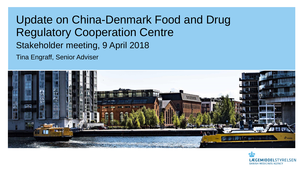# Update on China-Denmark Food and Drug Regulatory Cooperation Centre Stakeholder meeting, 9 April 2018

Tina Engraff, Senior Adviser



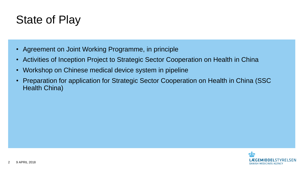#### State of Play

- Agreement on Joint Working Programme, in principle
- Activities of Inception Project to Strategic Sector Cooperation on Health in China
- Workshop on Chinese medical device system in pipeline
- Preparation for application for Strategic Sector Cooperation on Health in China (SSC Health China)

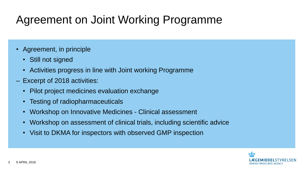# Agreement on Joint Working Programme

- Agreement, in principle
	- Still not signed
	- Activities progress in line with Joint working Programme
- ‒ Excerpt of 2018 activities:
	- Pilot project medicines evaluation exchange
	- Testing of radiopharmaceuticals
	- Workshop on Innovative Medicines Clinical assessment
	- Workshop on assessment of clinical trials, including scientific advice
	- Visit to DKMA for inspectors with observed GMP inspection

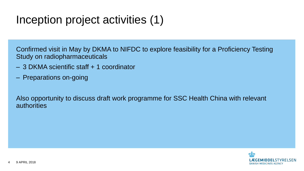## Inception project activities (1)

Confirmed visit in May by DKMA to NIFDC to explore feasibility for a Proficiency Testing Study on radiopharmaceuticals

- ‒ 3 DKMA scientific staff + 1 coordinator
- ‒ Preparations on-going

Also opportunity to discuss draft work programme for SSC Health China with relevant authorities

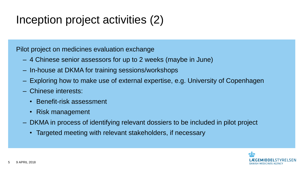# Inception project activities (2)

Pilot project on medicines evaluation exchange

- 4 Chinese senior assessors for up to 2 weeks (maybe in June)
- In-house at DKMA for training sessions/workshops
- Exploring how to make use of external expertise, e.g. University of Copenhagen
- Chinese interests:
	- Benefit-risk assessment
	- Risk management
- DKMA in process of identifying relevant dossiers to be included in pilot project
	- Targeted meeting with relevant stakeholders, if necessary

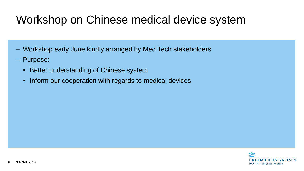## Workshop on Chinese medical device system

- ‒ Workshop early June kindly arranged by Med Tech stakeholders
- ‒ Purpose:
	- Better understanding of Chinese system
	- Inform our cooperation with regards to medical devices

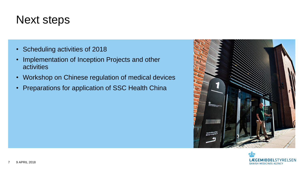#### Next steps

- Scheduling activities of 2018
- Implementation of Inception Projects and other activities
- Workshop on Chinese regulation of medical devices
- Preparations for application of SSC Health China